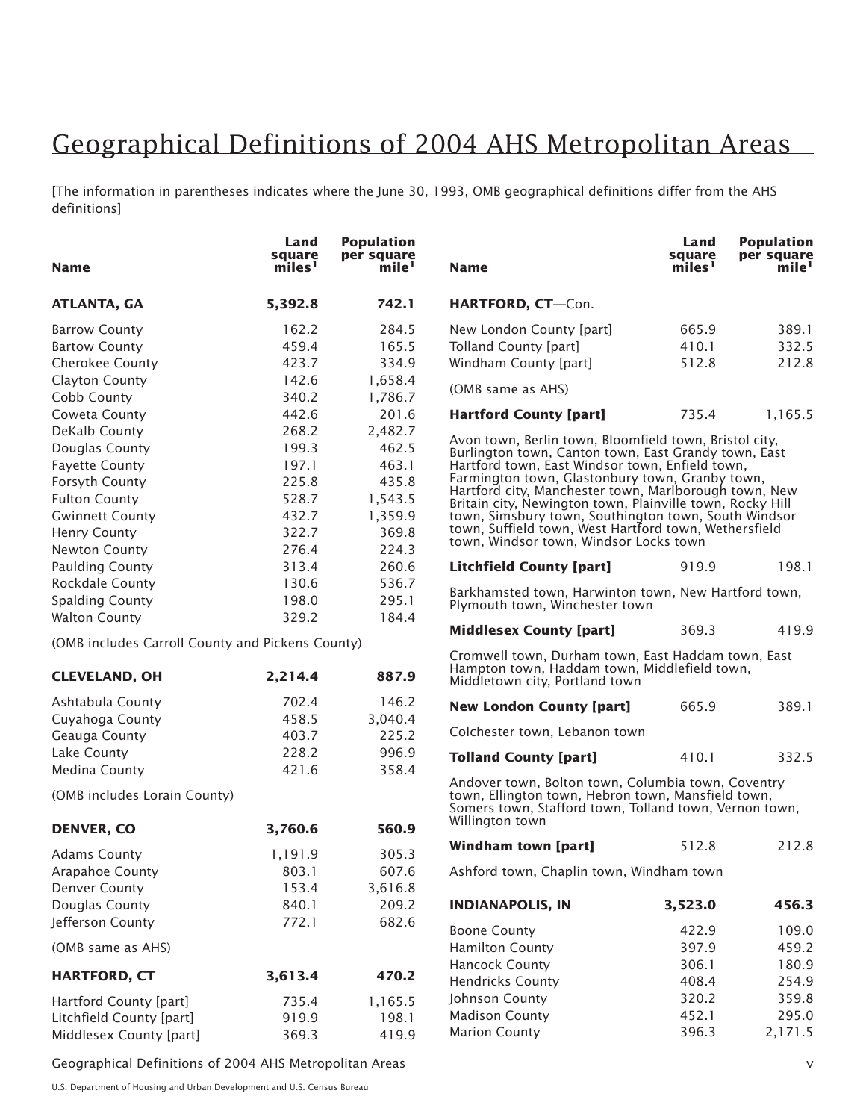## Geographical Definitions of 2004 AHS Metropolitan Areas

[The information in parentheses indicates where the June 30, 1993, OMB geographical definitions differ from the AHS definitions]

| <b>Name</b>                                      | Land<br>square<br>miles' | <b>Population</b><br>per square<br>$\text{mile}^1$                                                                                                                 | <b>Name</b>                                                                                                                                                                                                                                                                                                                      | Land<br>square<br>miles' | <b>Population</b><br>per square<br>mile' |
|--------------------------------------------------|--------------------------|--------------------------------------------------------------------------------------------------------------------------------------------------------------------|----------------------------------------------------------------------------------------------------------------------------------------------------------------------------------------------------------------------------------------------------------------------------------------------------------------------------------|--------------------------|------------------------------------------|
| <b>ATLANTA, GA</b>                               | 5,392.8                  | 742.1                                                                                                                                                              | HARTFORD, CT-Con.                                                                                                                                                                                                                                                                                                                |                          |                                          |
| <b>Barrow County</b>                             | 162.2                    | 284.5                                                                                                                                                              | New London County [part]                                                                                                                                                                                                                                                                                                         | 665.9                    | 389.1                                    |
| <b>Bartow County</b>                             | 459.4                    | 165.5                                                                                                                                                              | <b>Tolland County [part]</b>                                                                                                                                                                                                                                                                                                     | 410.1                    | 332.5                                    |
| Cherokee County                                  | 423.7                    | 334.9                                                                                                                                                              | Windham County [part]                                                                                                                                                                                                                                                                                                            | 512.8                    | 212.8                                    |
| Clayton County                                   | 142.6                    | 1,658.4                                                                                                                                                            |                                                                                                                                                                                                                                                                                                                                  |                          |                                          |
| Cobb County                                      | 340.2                    | 1,786.7                                                                                                                                                            | (OMB same as AHS)                                                                                                                                                                                                                                                                                                                |                          |                                          |
| Coweta County                                    | 442.6                    | 201.6                                                                                                                                                              | <b>Hartford County [part]</b>                                                                                                                                                                                                                                                                                                    | 735.4                    | 1,165.5                                  |
| DeKalb County                                    | 268.2                    | 2,482.7                                                                                                                                                            |                                                                                                                                                                                                                                                                                                                                  |                          |                                          |
| Douglas County                                   | 199.3                    | 462.5                                                                                                                                                              | Avon town, Berlin town, Bloomfield town, Bristol city,<br>Burlington town, Canton town, East Grandy town, East<br>Hartford town, East Windsor town, Enfield town,                                                                                                                                                                |                          |                                          |
| <b>Fayette County</b>                            | 197.1                    | 463.1                                                                                                                                                              |                                                                                                                                                                                                                                                                                                                                  |                          |                                          |
| Forsyth County                                   | 225.8                    | 435.8                                                                                                                                                              | Farmington town, Glastonbury town, Granby town,<br>Hartford city, Manchester town, Marlborough town, New<br>Britain city, Newington town, Plainville town, Rocky Hill<br>town, Simsbury town, Southington town, South Windsor<br>town, Suffield town, West Hartford town, Wethersfield<br>town, Windsor town, Windsor Locks town |                          |                                          |
| <b>Fulton County</b>                             | 528.7                    | 1,543.5                                                                                                                                                            |                                                                                                                                                                                                                                                                                                                                  |                          |                                          |
| <b>Gwinnett County</b>                           | 432.7                    | 1,359.9                                                                                                                                                            |                                                                                                                                                                                                                                                                                                                                  |                          |                                          |
| <b>Henry County</b>                              | 322.7                    | 369.8                                                                                                                                                              |                                                                                                                                                                                                                                                                                                                                  |                          |                                          |
| Newton County                                    | 276.4                    | 224.3                                                                                                                                                              |                                                                                                                                                                                                                                                                                                                                  |                          |                                          |
| <b>Paulding County</b>                           | 313.4                    | 260.6                                                                                                                                                              | <b>Litchfield County [part]</b>                                                                                                                                                                                                                                                                                                  | 919.9                    | 198.1                                    |
| Rockdale County                                  | 130.6                    | 536.7                                                                                                                                                              |                                                                                                                                                                                                                                                                                                                                  |                          |                                          |
| <b>Spalding County</b>                           | 198.0                    | 295.1                                                                                                                                                              | Barkhamsted town, Harwinton town, New Hartford town,<br>Plymouth town, Winchester town                                                                                                                                                                                                                                           |                          |                                          |
| <b>Walton County</b>                             | 329.2                    | 184.4                                                                                                                                                              |                                                                                                                                                                                                                                                                                                                                  |                          |                                          |
| (OMB includes Carroll County and Pickens County) |                          |                                                                                                                                                                    | <b>Middlesex County [part]</b>                                                                                                                                                                                                                                                                                                   | 369.3                    | 419.9                                    |
|                                                  |                          |                                                                                                                                                                    | Cromwell town, Durham town, East Haddam town, East                                                                                                                                                                                                                                                                               |                          |                                          |
| <b>CLEVELAND, OH</b>                             | 2,214.4                  | 887.9                                                                                                                                                              | Hampton town, Haddam town, Middlefield town,<br>Middletown city, Portland town                                                                                                                                                                                                                                                   |                          |                                          |
| Ashtabula County                                 | 702.4                    | 146.2                                                                                                                                                              | <b>New London County [part]</b>                                                                                                                                                                                                                                                                                                  | 665.9                    | 389.1                                    |
| Cuyahoga County                                  | 458.5                    | 3,040.4                                                                                                                                                            |                                                                                                                                                                                                                                                                                                                                  |                          |                                          |
| Geauga County                                    | 403.7                    | 225.2                                                                                                                                                              | Colchester town, Lebanon town                                                                                                                                                                                                                                                                                                    |                          |                                          |
| Lake County                                      | 228.2                    | 996.9                                                                                                                                                              | <b>Tolland County [part]</b>                                                                                                                                                                                                                                                                                                     | 410.1                    | 332.5                                    |
| Medina County                                    | 421.6                    | 358.4                                                                                                                                                              |                                                                                                                                                                                                                                                                                                                                  |                          |                                          |
| (OMB includes Lorain County)                     |                          | Andover town, Bolton town, Columbia town, Coventry<br>town, Ellington town, Hebron town, Mansfield town,<br>Somers town, Stafford town, Tolland town, Vernon town, |                                                                                                                                                                                                                                                                                                                                  |                          |                                          |
| <b>DENVER, CO</b>                                | 3,760.6                  | 560.9                                                                                                                                                              | Willington town                                                                                                                                                                                                                                                                                                                  |                          |                                          |
| <b>Adams County</b>                              | 1,191.9                  | 305.3                                                                                                                                                              | <b>Windham town [part]</b>                                                                                                                                                                                                                                                                                                       | 512.8                    | 212.8                                    |
| Arapahoe County                                  | 803.1                    | 607.6                                                                                                                                                              | Ashford town, Chaplin town, Windham town                                                                                                                                                                                                                                                                                         |                          |                                          |
| Denver County                                    | 153.4                    | 3,616.8                                                                                                                                                            |                                                                                                                                                                                                                                                                                                                                  |                          |                                          |
| Douglas County                                   | 840.1                    | 209.2                                                                                                                                                              | <b>INDIANAPOLIS, IN</b>                                                                                                                                                                                                                                                                                                          | 3,523.0                  | 456.3                                    |
| Jefferson County                                 | 772.1                    | 682.6                                                                                                                                                              |                                                                                                                                                                                                                                                                                                                                  |                          |                                          |
|                                                  |                          |                                                                                                                                                                    | <b>Boone County</b>                                                                                                                                                                                                                                                                                                              | 422.9                    | 109.0                                    |
| (OMB same as AHS)                                |                          |                                                                                                                                                                    | <b>Hamilton County</b>                                                                                                                                                                                                                                                                                                           | 397.9                    | 459.2                                    |
| <b>HARTFORD, CT</b>                              | 3,613.4                  | 470.2                                                                                                                                                              | Hancock County                                                                                                                                                                                                                                                                                                                   | 306.1                    | 180.9                                    |
|                                                  |                          |                                                                                                                                                                    | <b>Hendricks County</b>                                                                                                                                                                                                                                                                                                          | 408.4                    | 254.9                                    |
| Hartford County [part]                           | 735.4                    | 1,165.5                                                                                                                                                            | Johnson County                                                                                                                                                                                                                                                                                                                   | 320.2                    | 359.8                                    |
| Litchfield County [part]                         | 919.9                    | 198.1                                                                                                                                                              | <b>Madison County</b>                                                                                                                                                                                                                                                                                                            | 452.1                    | 295.0                                    |
| Middlesex County [part]                          | 369.3                    | 419.9                                                                                                                                                              | <b>Marion County</b>                                                                                                                                                                                                                                                                                                             | 396.3                    | 2,171.5                                  |

Geographical Definitions of 2004 AHS Metropolitan Areas v

U.S. Department of Housing and Urban Development and U.S. Census Bureau